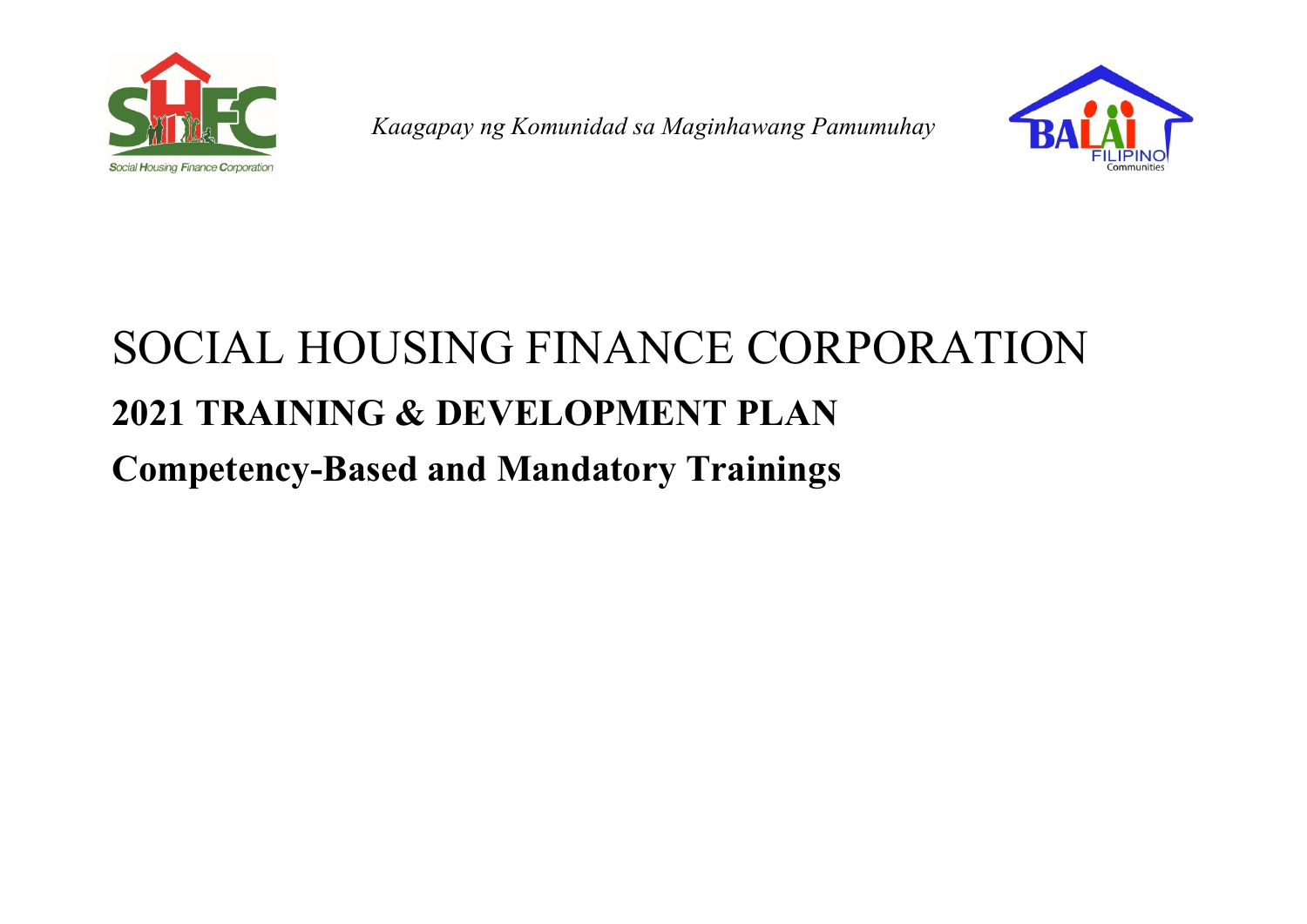

*Kaagapay ng Komunidad sa Maginhawang Pamumuhay*



## SOCIAL HOUSING FINANCE CORPORATION **2021 TRAINING & DEVELOPMENT PLAN Competency-Based and Mandatory Trainings**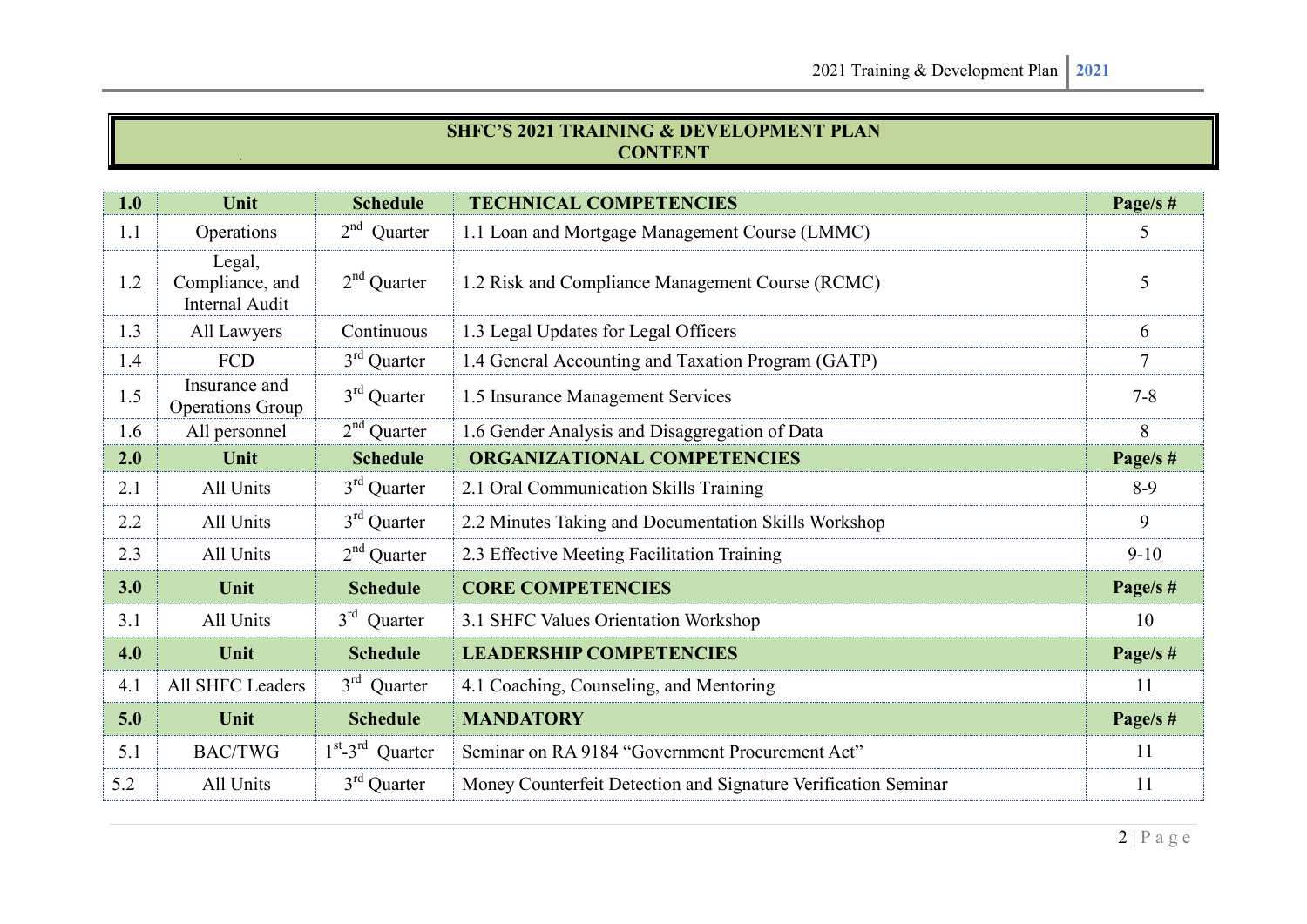## **SHFC¶S 2021 TRAINING & DEVELOPMENT PLAN CONTENT**

| 1.0 | Unit                                               | <b>Schedule</b>     | <b>TECHNICAL COMPETENCIES</b>                                  | Page/s $#$     |
|-----|----------------------------------------------------|---------------------|----------------------------------------------------------------|----------------|
| 1.1 | Operations                                         | $2nd$ Quarter       | 1.1 Loan and Mortgage Management Course (LMMC)                 | 5              |
| 1.2 | Legal,<br>Compliance, and<br><b>Internal Audit</b> | $2nd$ Quarter       | 1.2 Risk and Compliance Management Course (RCMC)               | 5              |
| 1.3 | All Lawyers                                        | Continuous          | 1.3 Legal Updates for Legal Officers                           | 6              |
| 1.4 | FCD                                                | $3rd$ Quarter       | 1.4 General Accounting and Taxation Program (GATP)             | $\overline{7}$ |
| 1.5 | Insurance and<br><b>Operations Group</b>           | $3rd$ Quarter       | 1.5 Insurance Management Services                              | $7 - 8$        |
| 1.6 | All personnel                                      | $2nd$ Quarter       | 1.6 Gender Analysis and Disaggregation of Data                 | 8              |
| 2.0 | Unit                                               | <b>Schedule</b>     | <b>ORGANIZATIONAL COMPETENCIES</b>                             | Page/s $#$     |
| 2.1 | All Units                                          | $3rd$ Quarter       | 2.1 Oral Communication Skills Training                         | $8-9$          |
| 2.2 | All Units                                          | $3rd$ Quarter       | 2.2 Minutes Taking and Documentation Skills Workshop           | 9              |
| 2.3 | All Units                                          | $2nd$ Quarter       | 2.3 Effective Meeting Facilitation Training                    | $9-10$         |
| 3.0 | Unit                                               | <b>Schedule</b>     | <b>CORE COMPETENCIES</b>                                       | Page/s $#$     |
| 3.1 | All Units                                          | $3rd$ Quarter       | 3.1 SHFC Values Orientation Workshop                           | 10             |
| 4.0 | Unit                                               | <b>Schedule</b>     | <b>LEADERSHIP COMPETENCIES</b>                                 | Page/s $#$     |
| 4.1 | All SHFC Leaders                                   | $3rd$ Quarter       | 4.1 Coaching, Counseling, and Mentoring                        | 11             |
| 5.0 | Unit                                               | <b>Schedule</b>     | <b>MANDATORY</b>                                               | Page/s $#$     |
| 5.1 | <b>BAC/TWG</b>                                     | $1st - 3rd$ Quarter | Seminar on RA 9184 "Government Procurement Act"                | 11             |
| 5.2 | All Units                                          | $3rd$ Quarter       | Money Counterfeit Detection and Signature Verification Seminar | 11             |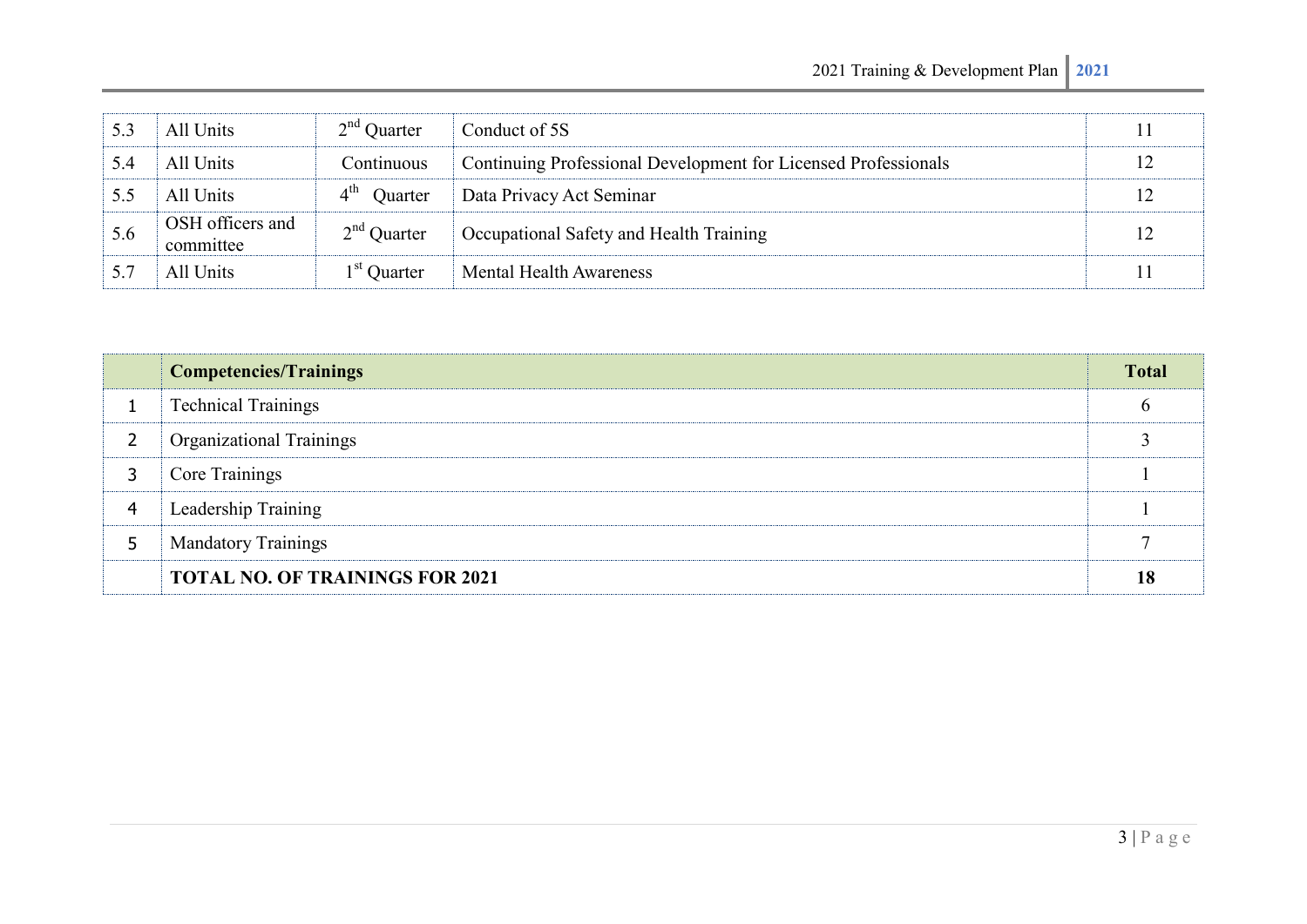| 5.3 | All Units                     | $2nd$ Quarter | Conduct of 5S                                                  |    |
|-----|-------------------------------|---------------|----------------------------------------------------------------|----|
| 5.4 | All Units                     | Continuous    | Continuing Professional Development for Licensed Professionals |    |
| 5.5 | All Units                     | Ouarter       | Data Privacy Act Seminar                                       | 12 |
| 5.6 | OSH officers and<br>committee | $2nd$ Quarter | Occupational Safety and Health Training                        |    |
| 5.7 | All Units                     | $1st$ Quarter | <b>Mental Health Awareness</b>                                 |    |

|   | <b>Competencies/Trainings</b>          | <b>Total</b> |
|---|----------------------------------------|--------------|
|   | <b>Technical Trainings</b>             |              |
| 2 | <b>Organizational Trainings</b>        |              |
| 3 | Core Trainings                         |              |
| 4 | Leadership Training                    |              |
| 5 | <b>Mandatory Trainings</b>             |              |
|   | <b>TOTAL NO. OF TRAININGS FOR 2021</b> | 18           |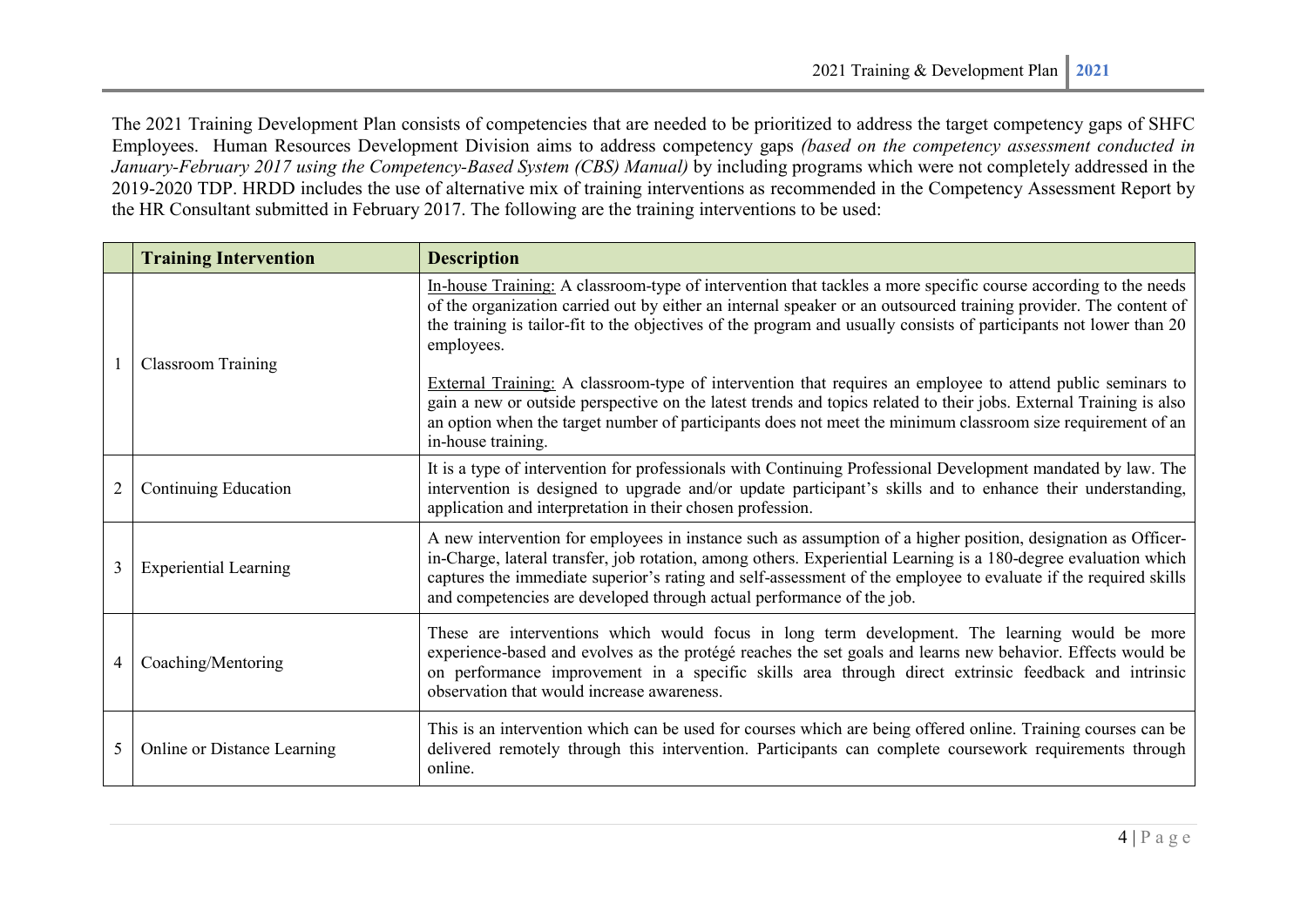The 2021 Training Development Plan consists of competencies that are needed to be prioritized to address the target competency gaps of SHFC Employees. Human Resources Development Division aims to address competency gaps *(based on the competency assessment conducted in January-February 2017 using the Competency-Based System (CBS) Manual)* by including programs which were not completely addressed in the 2019-2020 TDP. HRDD includes the use of alternative mix of training interventions as recommended in the Competency Assessment Report by the HR Consultant submitted in February 2017. The following are the training interventions to be used:

|   | <b>Training Intervention</b> | <b>Description</b>                                                                                                                                                                                                                                                                                                                                                                                                                                                                                                                                                                                                                                                                                                                              |
|---|------------------------------|-------------------------------------------------------------------------------------------------------------------------------------------------------------------------------------------------------------------------------------------------------------------------------------------------------------------------------------------------------------------------------------------------------------------------------------------------------------------------------------------------------------------------------------------------------------------------------------------------------------------------------------------------------------------------------------------------------------------------------------------------|
|   | <b>Classroom Training</b>    | In-house Training: A classroom-type of intervention that tackles a more specific course according to the needs<br>of the organization carried out by either an internal speaker or an outsourced training provider. The content of<br>the training is tailor-fit to the objectives of the program and usually consists of participants not lower than 20<br>employees.<br>External Training: A classroom-type of intervention that requires an employee to attend public seminars to<br>gain a new or outside perspective on the latest trends and topics related to their jobs. External Training is also<br>an option when the target number of participants does not meet the minimum classroom size requirement of an<br>in-house training. |
| 2 | Continuing Education         | It is a type of intervention for professionals with Continuing Professional Development mandated by law. The<br>intervention is designed to upgrade and/or update participant's skills and to enhance their understanding,<br>application and interpretation in their chosen profession.                                                                                                                                                                                                                                                                                                                                                                                                                                                        |
| 3 | <b>Experiential Learning</b> | A new intervention for employees in instance such as assumption of a higher position, designation as Officer-<br>in-Charge, lateral transfer, job rotation, among others. Experiential Learning is a 180-degree evaluation which<br>captures the immediate superior's rating and self-assessment of the employee to evaluate if the required skills<br>and competencies are developed through actual performance of the job.                                                                                                                                                                                                                                                                                                                    |
| 4 | Coaching/Mentoring           | These are interventions which would focus in long term development. The learning would be more<br>experience-based and evolves as the protégé reaches the set goals and learns new behavior. Effects would be<br>on performance improvement in a specific skills area through direct extrinsic feedback and intrinsic<br>observation that would increase awareness.                                                                                                                                                                                                                                                                                                                                                                             |
| 5 | Online or Distance Learning  | This is an intervention which can be used for courses which are being offered online. Training courses can be<br>delivered remotely through this intervention. Participants can complete coursework requirements through<br>online.                                                                                                                                                                                                                                                                                                                                                                                                                                                                                                             |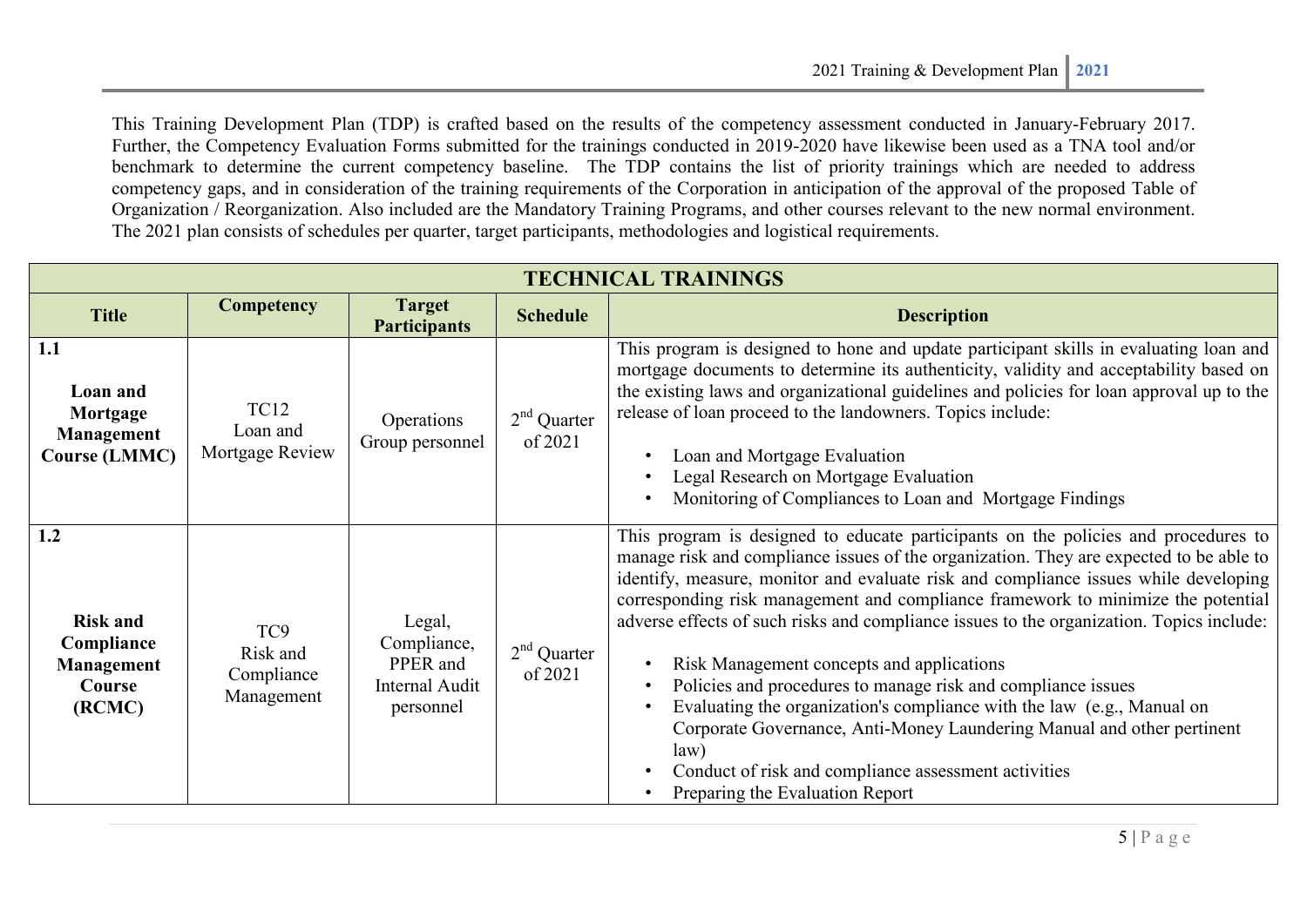This Training Development Plan (TDP) is crafted based on the results of the competency assessment conducted in January-February 2017. Further, the Competency Evaluation Forms submitted for the trainings conducted in 2019-2020 have likewise been used as a TNA tool and/or benchmark to determine the current competency baseline. The TDP contains the list of priority trainings which are needed to address competency gaps, and in consideration of the training requirements of the Corporation in anticipation of the approval of the proposed Table of Organization / Reorganization. Also included are the Mandatory Training Programs, and other courses relevant to the new normal environment. The 2021 plan consists of schedules per quarter, target participants, methodologies and logistical requirements.

| <b>TECHNICAL TRAININGS</b>                                             |                                                         |                                                                  |                          |                                                                                                                                                                                                                                                                                                                                                                                                                                                                                                                                                                                                                                                                                                                                                                                                                         |  |  |
|------------------------------------------------------------------------|---------------------------------------------------------|------------------------------------------------------------------|--------------------------|-------------------------------------------------------------------------------------------------------------------------------------------------------------------------------------------------------------------------------------------------------------------------------------------------------------------------------------------------------------------------------------------------------------------------------------------------------------------------------------------------------------------------------------------------------------------------------------------------------------------------------------------------------------------------------------------------------------------------------------------------------------------------------------------------------------------------|--|--|
| <b>Title</b>                                                           | <b>Competency</b>                                       | <b>Target</b><br><b>Participants</b>                             | <b>Schedule</b>          | <b>Description</b>                                                                                                                                                                                                                                                                                                                                                                                                                                                                                                                                                                                                                                                                                                                                                                                                      |  |  |
| 1.1<br>Loan and<br>Mortgage<br>Management<br><b>Course (LMMC)</b>      | <b>TC12</b><br>Loan and<br>Mortgage Review              | Operations<br>Group personnel                                    | $2nd$ Quarter<br>of 2021 | This program is designed to hone and update participant skills in evaluating loan and<br>mortgage documents to determine its authenticity, validity and acceptability based on<br>the existing laws and organizational guidelines and policies for loan approval up to the<br>release of loan proceed to the landowners. Topics include:<br>Loan and Mortgage Evaluation<br>Legal Research on Mortgage Evaluation<br>Monitoring of Compliances to Loan and Mortgage Findings                                                                                                                                                                                                                                                                                                                                            |  |  |
| 1.2<br><b>Risk and</b><br>Compliance<br>Management<br>Course<br>(RCMC) | TC <sub>9</sub><br>Risk and<br>Compliance<br>Management | Legal,<br>Compliance,<br>PPER and<br>Internal Audit<br>personnel | $2nd$ Quarter<br>of 2021 | This program is designed to educate participants on the policies and procedures to<br>manage risk and compliance issues of the organization. They are expected to be able to<br>identify, measure, monitor and evaluate risk and compliance issues while developing<br>corresponding risk management and compliance framework to minimize the potential<br>adverse effects of such risks and compliance issues to the organization. Topics include:<br>Risk Management concepts and applications<br>Policies and procedures to manage risk and compliance issues<br>Evaluating the organization's compliance with the law (e.g., Manual on<br>Corporate Governance, Anti-Money Laundering Manual and other pertinent<br>law)<br>Conduct of risk and compliance assessment activities<br>Preparing the Evaluation Report |  |  |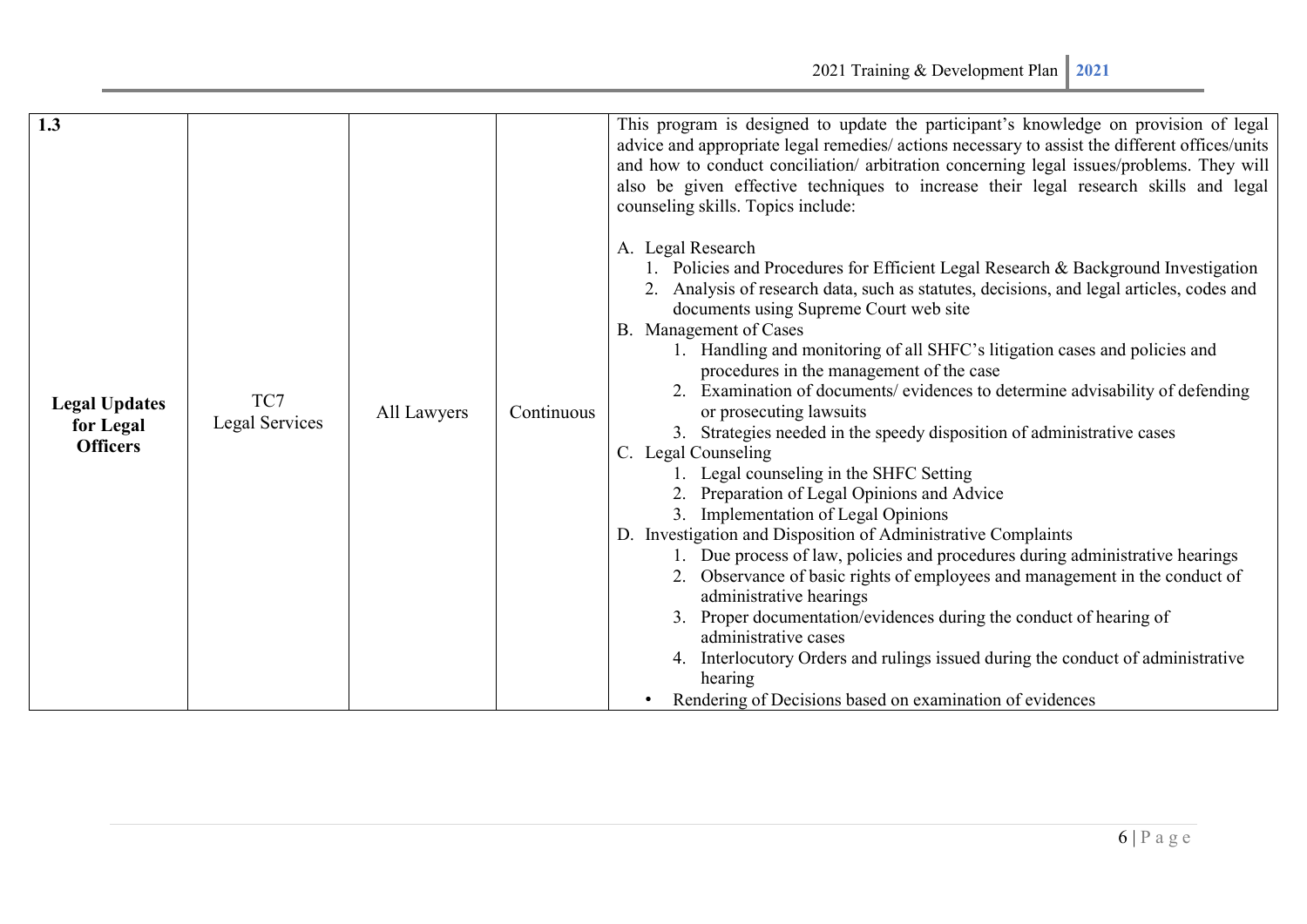| 1.3<br><b>Legal Updates</b><br>for Legal<br><b>Officers</b> | TC7<br>Legal Services | All Lawyers | Continuous | This program is designed to update the participant's knowledge on provision of legal<br>advice and appropriate legal remedies/ actions necessary to assist the different offices/units<br>and how to conduct conciliation/ arbitration concerning legal issues/problems. They will<br>also be given effective techniques to increase their legal research skills and legal<br>counseling skills. Topics include:<br>A. Legal Research<br>1. Policies and Procedures for Efficient Legal Research & Background Investigation<br>Analysis of research data, such as statutes, decisions, and legal articles, codes and<br>documents using Supreme Court web site<br>B. Management of Cases<br>1. Handling and monitoring of all SHFC's litigation cases and policies and<br>procedures in the management of the case<br>Examination of documents/ evidences to determine advisability of defending<br>or prosecuting lawsuits<br>3. Strategies needed in the speedy disposition of administrative cases<br>C. Legal Counseling<br>Legal counseling in the SHFC Setting<br>2. Preparation of Legal Opinions and Advice<br>3. Implementation of Legal Opinions<br>D. Investigation and Disposition of Administrative Complaints<br>1. Due process of law, policies and procedures during administrative hearings<br>2. Observance of basic rights of employees and management in the conduct of<br>administrative hearings<br>3. Proper documentation/evidences during the conduct of hearing of<br>administrative cases<br>4. Interlocutory Orders and rulings issued during the conduct of administrative<br>hearing<br>Rendering of Decisions based on examination of evidences |
|-------------------------------------------------------------|-----------------------|-------------|------------|--------------------------------------------------------------------------------------------------------------------------------------------------------------------------------------------------------------------------------------------------------------------------------------------------------------------------------------------------------------------------------------------------------------------------------------------------------------------------------------------------------------------------------------------------------------------------------------------------------------------------------------------------------------------------------------------------------------------------------------------------------------------------------------------------------------------------------------------------------------------------------------------------------------------------------------------------------------------------------------------------------------------------------------------------------------------------------------------------------------------------------------------------------------------------------------------------------------------------------------------------------------------------------------------------------------------------------------------------------------------------------------------------------------------------------------------------------------------------------------------------------------------------------------------------------------------------------------------------------------------------------------------------------------------------------|
|-------------------------------------------------------------|-----------------------|-------------|------------|--------------------------------------------------------------------------------------------------------------------------------------------------------------------------------------------------------------------------------------------------------------------------------------------------------------------------------------------------------------------------------------------------------------------------------------------------------------------------------------------------------------------------------------------------------------------------------------------------------------------------------------------------------------------------------------------------------------------------------------------------------------------------------------------------------------------------------------------------------------------------------------------------------------------------------------------------------------------------------------------------------------------------------------------------------------------------------------------------------------------------------------------------------------------------------------------------------------------------------------------------------------------------------------------------------------------------------------------------------------------------------------------------------------------------------------------------------------------------------------------------------------------------------------------------------------------------------------------------------------------------------------------------------------------------------|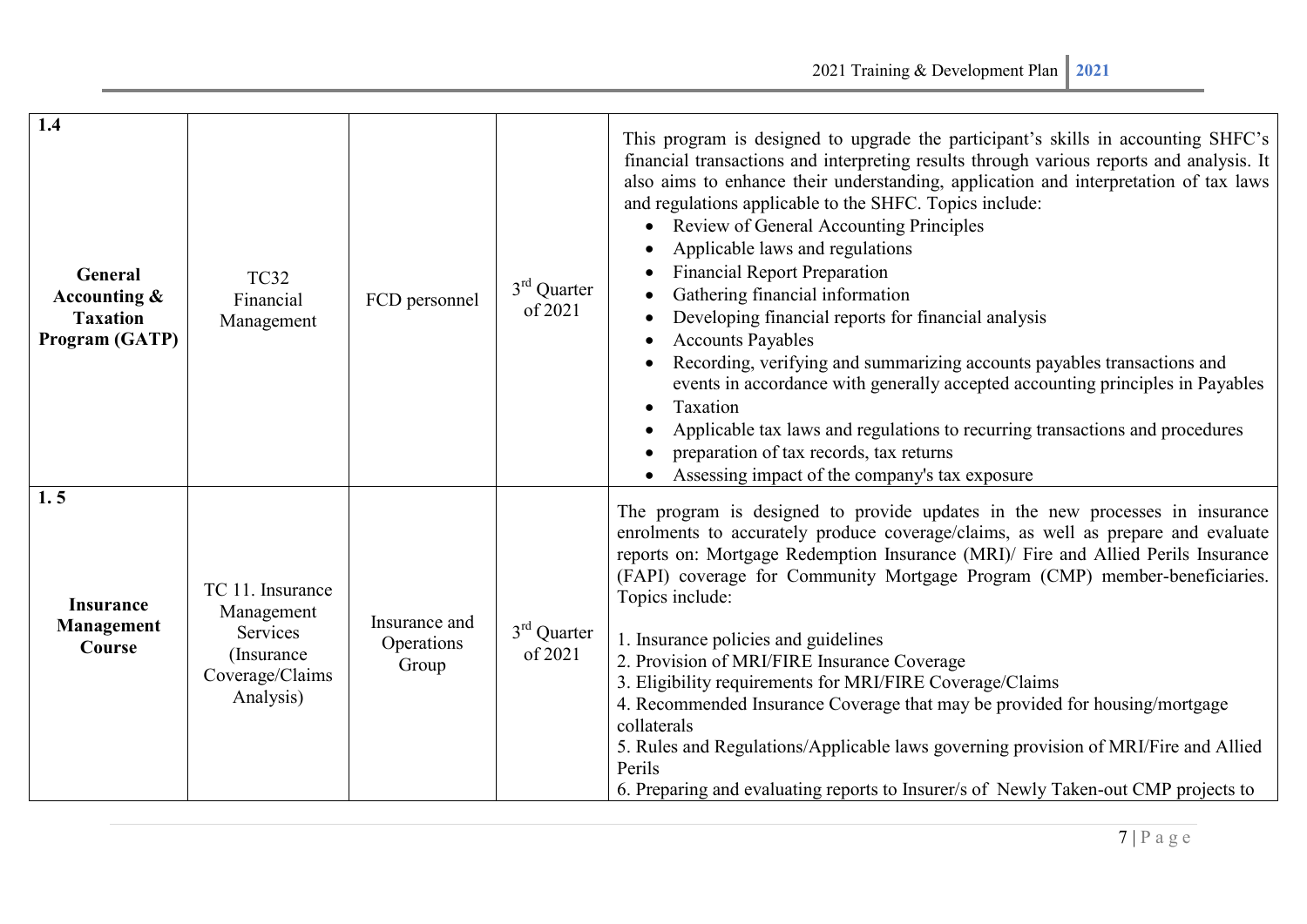| 1.4<br><b>General</b><br>Accounting &<br><b>Taxation</b><br>Program (GATP) | <b>TC32</b><br>Financial<br>Management                                                    | FCD personnel                        | $3rd$ Quarter<br>of 2021           | This program is designed to upgrade the participant's skills in accounting SHFC's<br>financial transactions and interpreting results through various reports and analysis. It<br>also aims to enhance their understanding, application and interpretation of tax laws<br>and regulations applicable to the SHFC. Topics include:<br>Review of General Accounting Principles<br>Applicable laws and regulations<br><b>Financial Report Preparation</b><br>Gathering financial information<br>Developing financial reports for financial analysis<br><b>Accounts Payables</b><br>Recording, verifying and summarizing accounts payables transactions and<br>events in accordance with generally accepted accounting principles in Payables<br>Taxation<br>$\bullet$<br>Applicable tax laws and regulations to recurring transactions and procedures<br>preparation of tax records, tax returns<br>Assessing impact of the company's tax exposure |
|----------------------------------------------------------------------------|-------------------------------------------------------------------------------------------|--------------------------------------|------------------------------------|------------------------------------------------------------------------------------------------------------------------------------------------------------------------------------------------------------------------------------------------------------------------------------------------------------------------------------------------------------------------------------------------------------------------------------------------------------------------------------------------------------------------------------------------------------------------------------------------------------------------------------------------------------------------------------------------------------------------------------------------------------------------------------------------------------------------------------------------------------------------------------------------------------------------------------------------|
| 1.5<br><b>Insurance</b><br><b>Management</b><br>Course                     | TC 11. Insurance<br>Management<br>Services<br>(Insurance)<br>Coverage/Claims<br>Analysis) | Insurance and<br>Operations<br>Group | $3^{\text{rd}}$ Quarter<br>of 2021 | The program is designed to provide updates in the new processes in insurance<br>enrolments to accurately produce coverage/claims, as well as prepare and evaluate<br>reports on: Mortgage Redemption Insurance (MRI)/ Fire and Allied Perils Insurance<br>(FAPI) coverage for Community Mortgage Program (CMP) member-beneficiaries.<br>Topics include:<br>1. Insurance policies and guidelines<br>2. Provision of MRI/FIRE Insurance Coverage<br>3. Eligibility requirements for MRI/FIRE Coverage/Claims<br>4. Recommended Insurance Coverage that may be provided for housing/mortgage<br>collaterals<br>5. Rules and Regulations/Applicable laws governing provision of MRI/Fire and Allied<br>Perils<br>6. Preparing and evaluating reports to Insurer/s of Newly Taken-out CMP projects to                                                                                                                                               |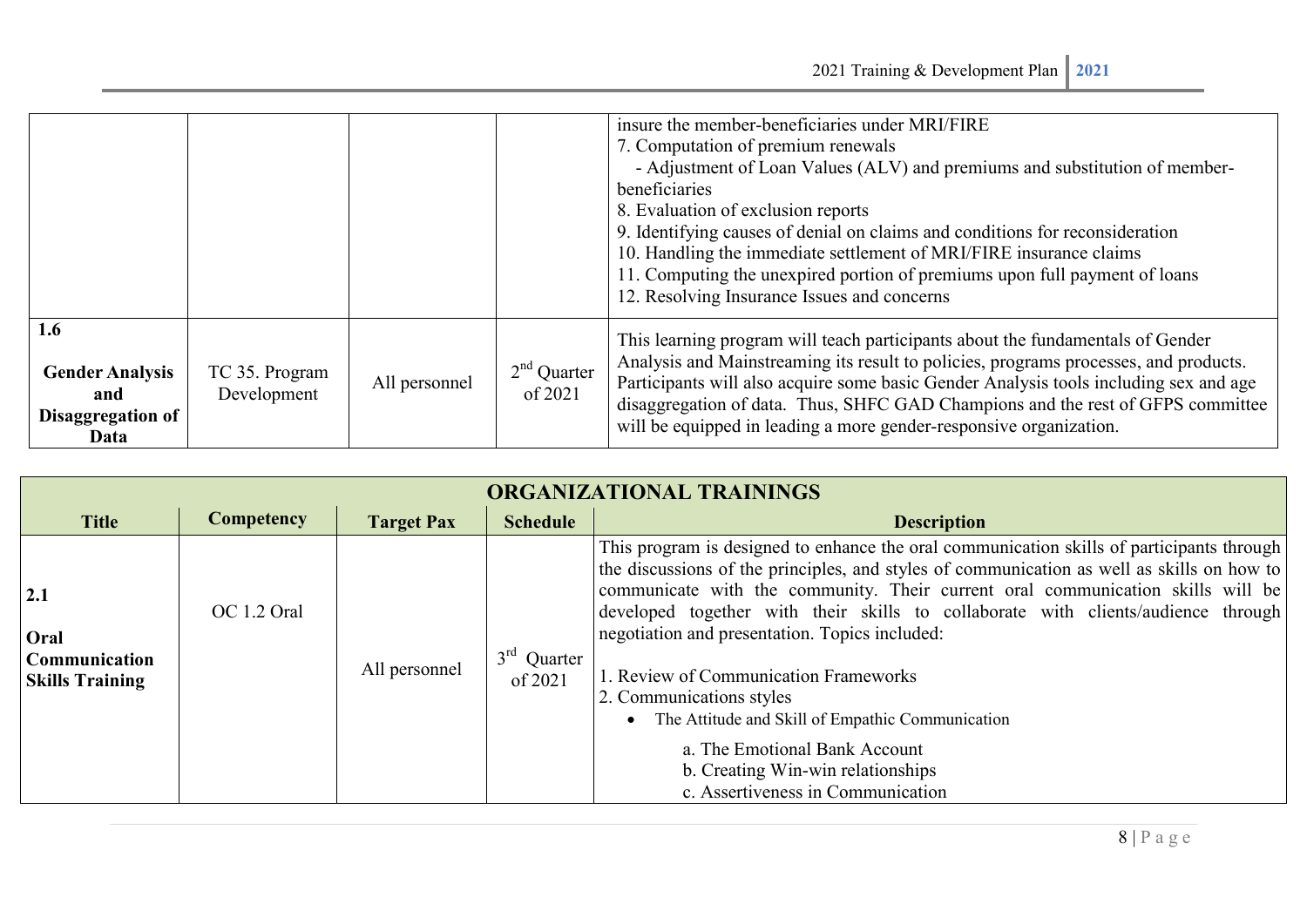|                                                                   |                               |               |                          | insure the member-beneficiaries under MRI/FIRE<br>7. Computation of premium renewals<br>- Adjustment of Loan Values (ALV) and premiums and substitution of member-<br>beneficiaries<br>8. Evaluation of exclusion reports<br>9. Identifying causes of denial on claims and conditions for reconsideration<br>10. Handling the immediate settlement of MRI/FIRE insurance claims<br>11. Computing the unexpired portion of premiums upon full payment of loans<br>12. Resolving Insurance Issues and concerns |
|-------------------------------------------------------------------|-------------------------------|---------------|--------------------------|--------------------------------------------------------------------------------------------------------------------------------------------------------------------------------------------------------------------------------------------------------------------------------------------------------------------------------------------------------------------------------------------------------------------------------------------------------------------------------------------------------------|
| 1.6<br><b>Gender Analysis</b><br>and<br>Disaggregation of<br>Data | TC 35. Program<br>Development | All personnel | $2nd$ Quarter<br>of 2021 | This learning program will teach participants about the fundamentals of Gender<br>Analysis and Mainstreaming its result to policies, programs processes, and products.<br>Participants will also acquire some basic Gender Analysis tools including sex and age<br>disaggregation of data. Thus, SHFC GAD Champions and the rest of GFPS committee<br>will be equipped in leading a more gender-responsive organization.                                                                                     |

| ORGANIZATIONAL TRAININGS                               |             |                   |                          |                                                                                                                                                                                                                                                                                                                                                                                                                                                                                                                                                                                                                                                       |  |  |
|--------------------------------------------------------|-------------|-------------------|--------------------------|-------------------------------------------------------------------------------------------------------------------------------------------------------------------------------------------------------------------------------------------------------------------------------------------------------------------------------------------------------------------------------------------------------------------------------------------------------------------------------------------------------------------------------------------------------------------------------------------------------------------------------------------------------|--|--|
| <b>Title</b>                                           | Competency  | <b>Target Pax</b> | <b>Schedule</b>          | <b>Description</b>                                                                                                                                                                                                                                                                                                                                                                                                                                                                                                                                                                                                                                    |  |  |
| 2.1<br>Oral<br>Communication<br><b>Skills Training</b> | OC 1.2 Oral | All personnel     | $3rd$ Quarter<br>of 2021 | This program is designed to enhance the oral communication skills of participants through<br>the discussions of the principles, and styles of communication as well as skills on how to<br>communicate with the community. Their current oral communication skills will be<br>developed together with their skills to collaborate with clients/audience through<br>negotiation and presentation. Topics included:<br>1. Review of Communication Frameworks<br>2. Communications styles<br>The Attitude and Skill of Empathic Communication<br>a. The Emotional Bank Account<br>b. Creating Win-win relationships<br>c. Assertiveness in Communication |  |  |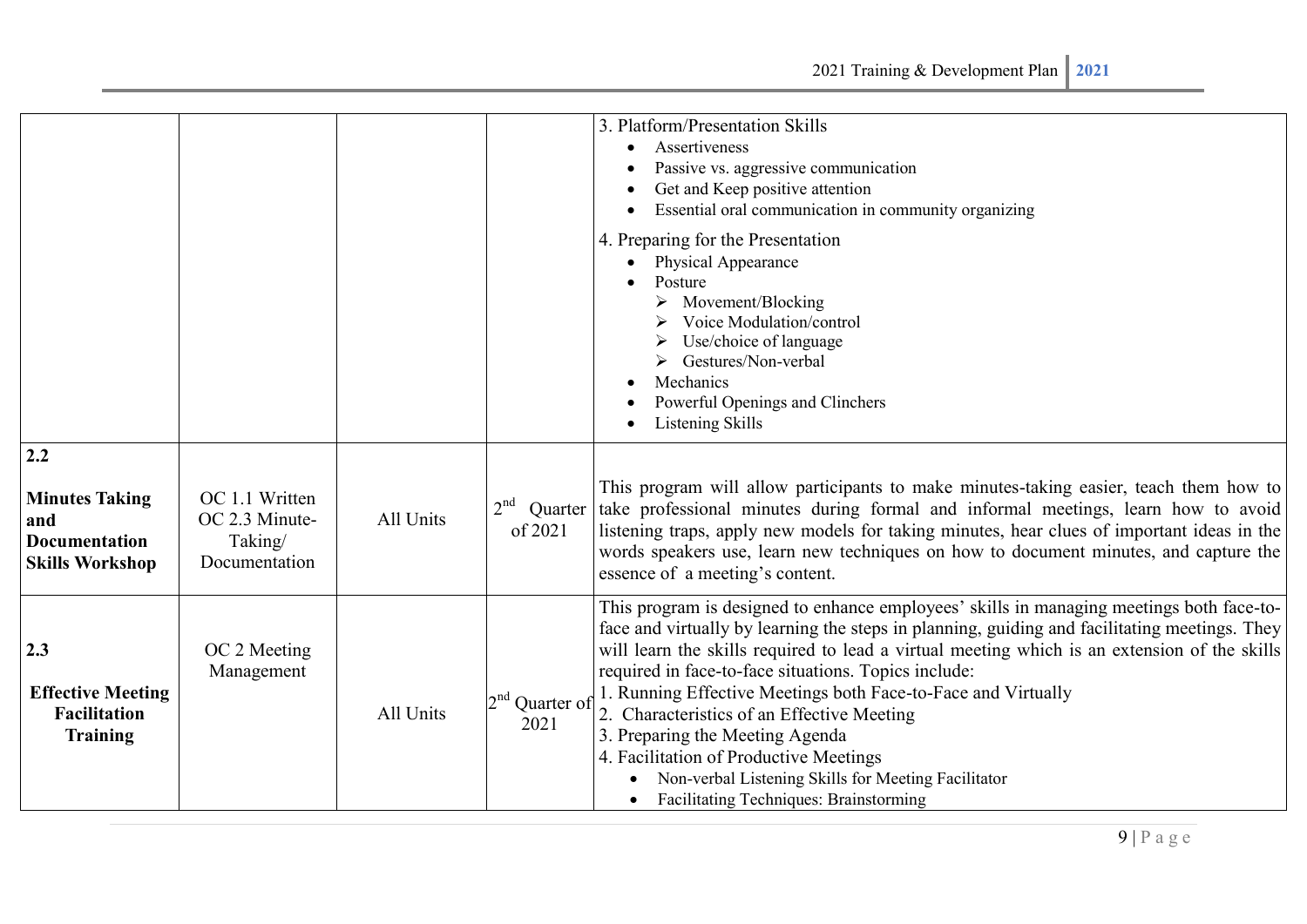|                                                                                       |                                                              |           |                                       | 3. Platform/Presentation Skills<br>Assertiveness<br>Passive vs. aggressive communication<br>Get and Keep positive attention<br>Essential oral communication in community organizing<br>4. Preparing for the Presentation<br>Physical Appearance<br>Posture<br>Movement/Blocking<br>Voice Modulation/control<br>Use/choice of language<br>Gestures/Non-verbal<br>Mechanics<br>Powerful Openings and Clinchers<br>Listening Skills                                                                                                                                                                                                                      |
|---------------------------------------------------------------------------------------|--------------------------------------------------------------|-----------|---------------------------------------|-------------------------------------------------------------------------------------------------------------------------------------------------------------------------------------------------------------------------------------------------------------------------------------------------------------------------------------------------------------------------------------------------------------------------------------------------------------------------------------------------------------------------------------------------------------------------------------------------------------------------------------------------------|
| 2.2<br><b>Minutes Taking</b><br>and<br><b>Documentation</b><br><b>Skills Workshop</b> | OC 1.1 Written<br>OC 2.3 Minute-<br>Taking/<br>Documentation | All Units | 2 <sup>nd</sup><br>Quarter<br>of 2021 | This program will allow participants to make minutes-taking easier, teach them how to<br>take professional minutes during formal and informal meetings, learn how to avoid<br>listening traps, apply new models for taking minutes, hear clues of important ideas in the<br>words speakers use, learn new techniques on how to document minutes, and capture the<br>essence of a meeting's content.                                                                                                                                                                                                                                                   |
| 2.3<br><b>Effective Meeting</b><br><b>Facilitation</b><br><b>Training</b>             | OC 2 Meeting<br>Management                                   | All Units | $2nd$ Quarter of<br>2021              | This program is designed to enhance employees' skills in managing meetings both face-to-<br>face and virtually by learning the steps in planning, guiding and facilitating meetings. They<br>will learn the skills required to lead a virtual meeting which is an extension of the skills<br>required in face-to-face situations. Topics include:<br>1. Running Effective Meetings both Face-to-Face and Virtually<br>2. Characteristics of an Effective Meeting<br>3. Preparing the Meeting Agenda<br>4. Facilitation of Productive Meetings<br>Non-verbal Listening Skills for Meeting Facilitator<br><b>Facilitating Techniques: Brainstorming</b> |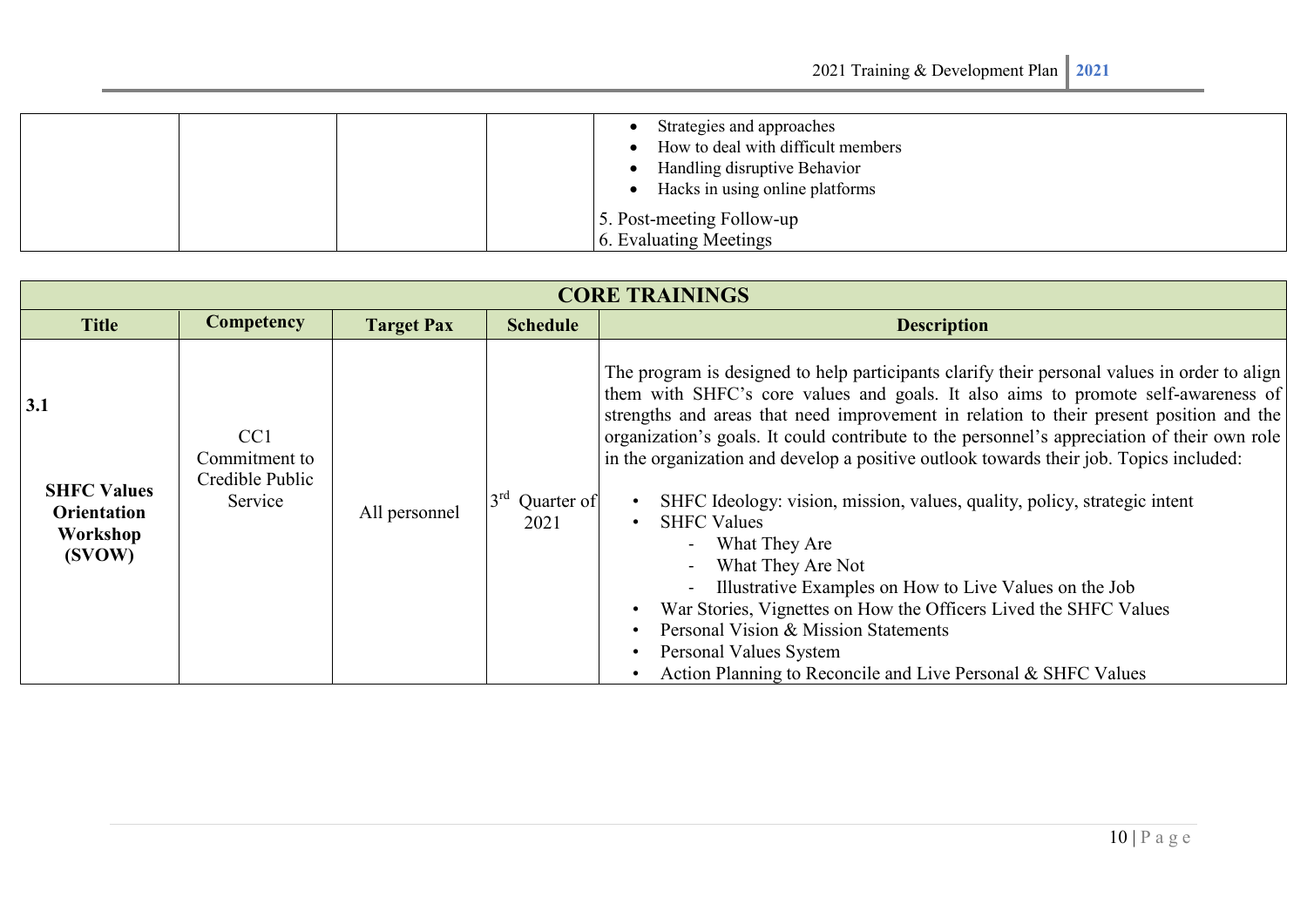|  | Strategies and approaches<br>How to deal with difficult members<br>Handling disruptive Behavior<br>Hacks in using online platforms |
|--|------------------------------------------------------------------------------------------------------------------------------------|
|  | 5. Post-meeting Follow-up<br>6. Evaluating Meetings                                                                                |

| <b>CORE TRAININGS</b>                                                 |                                                                |                   |                                       |                                                                                                                                                                                                                                                                                                                                                                                                                                                                                                                                                                                                                                                                                                                                                                                                                                                                                          |  |  |
|-----------------------------------------------------------------------|----------------------------------------------------------------|-------------------|---------------------------------------|------------------------------------------------------------------------------------------------------------------------------------------------------------------------------------------------------------------------------------------------------------------------------------------------------------------------------------------------------------------------------------------------------------------------------------------------------------------------------------------------------------------------------------------------------------------------------------------------------------------------------------------------------------------------------------------------------------------------------------------------------------------------------------------------------------------------------------------------------------------------------------------|--|--|
| <b>Title</b>                                                          | Competency                                                     | <b>Target Pax</b> | <b>Schedule</b>                       | <b>Description</b>                                                                                                                                                                                                                                                                                                                                                                                                                                                                                                                                                                                                                                                                                                                                                                                                                                                                       |  |  |
| 3.1<br><b>SHFC Values</b><br><b>Orientation</b><br>Workshop<br>(SVOW) | CC <sub>1</sub><br>Commitment to<br>Credible Public<br>Service | All personnel     | $3^{\text{rd}}$<br>Quarter of<br>2021 | The program is designed to help participants clarify their personal values in order to align<br>them with SHFC's core values and goals. It also aims to promote self-awareness of<br>strengths and areas that need improvement in relation to their present position and the<br>organization's goals. It could contribute to the personnel's appreciation of their own role<br>in the organization and develop a positive outlook towards their job. Topics included:<br>SHFC Ideology: vision, mission, values, quality, policy, strategic intent<br><b>SHFC Values</b><br>What They Are<br>$\sim$<br>What They Are Not<br>Illustrative Examples on How to Live Values on the Job<br>War Stories, Vignettes on How the Officers Lived the SHFC Values<br>Personal Vision & Mission Statements<br>Personal Values System<br>Action Planning to Reconcile and Live Personal & SHFC Values |  |  |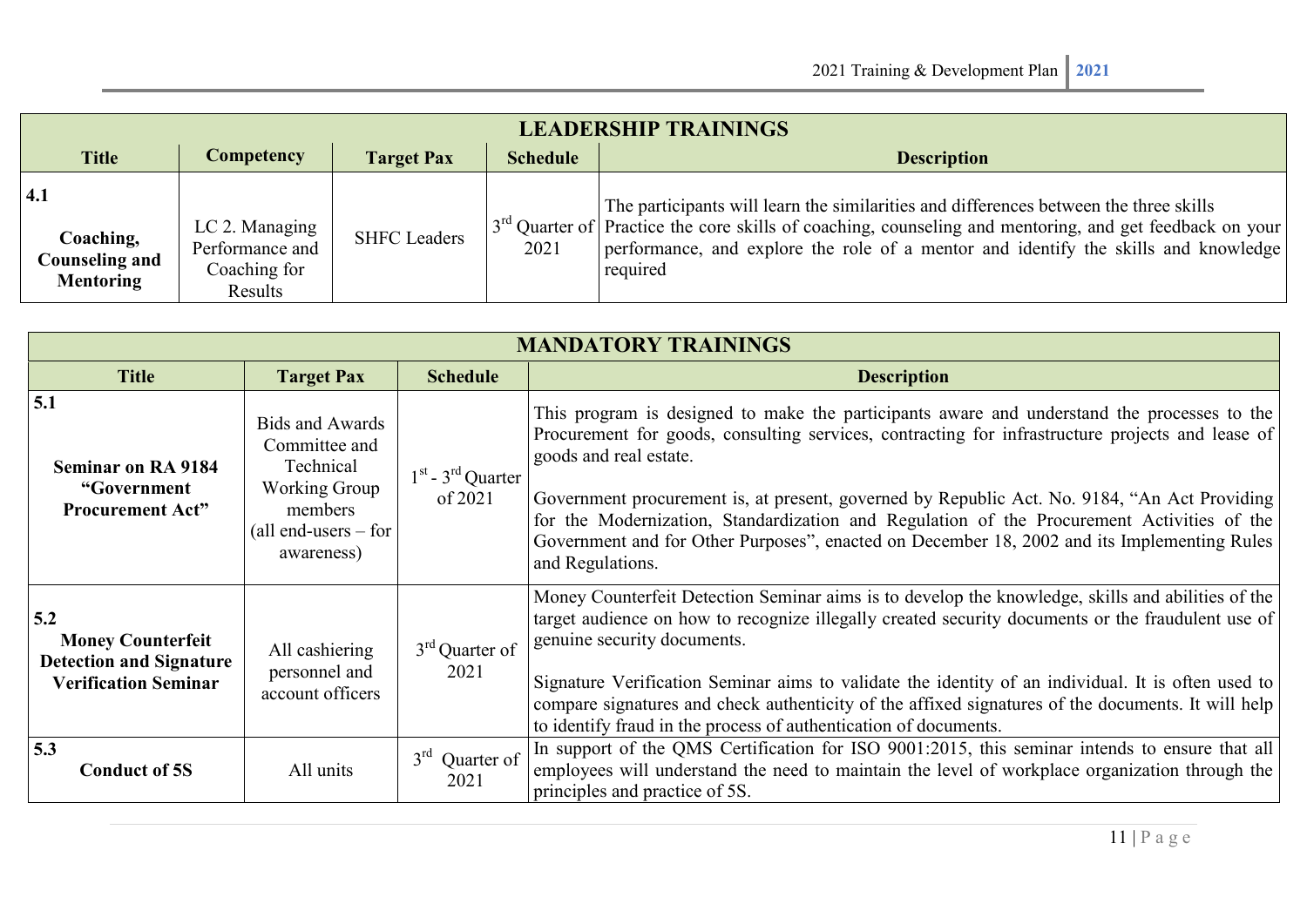| <b>LEADERSHIP TRAININGS</b>                            |                                                              |                     |                 |                                                                                                                                                                                                                 |  |  |  |  |  |  |
|--------------------------------------------------------|--------------------------------------------------------------|---------------------|-----------------|-----------------------------------------------------------------------------------------------------------------------------------------------------------------------------------------------------------------|--|--|--|--|--|--|
| <b>Title</b>                                           | <b>Competency</b>                                            | <b>Target Pax</b>   | <b>Schedule</b> | <b>Description</b>                                                                                                                                                                                              |  |  |  |  |  |  |
| 4.1                                                    |                                                              |                     |                 | The participants will learn the similarities and differences between the three skills                                                                                                                           |  |  |  |  |  |  |
| Coaching,<br><b>Counseling and</b><br><b>Mentoring</b> | LC 2. Managing<br>Performance and<br>Coaching for<br>Results | <b>SHFC Leaders</b> | 2021            | $3^{rd}$ Quarter of Practice the core skills of coaching, counseling and mentoring, and get feedback on your<br>performance, and explore the role of a mentor and identify the skills and knowledge<br>required |  |  |  |  |  |  |

| <b>MANDATORY TRAININGS</b>                                                                       |                                                                                                                          |                                              |                                                                                                                                                                                                                                                                                                                                                                                                                                                                                                                                            |  |  |  |  |
|--------------------------------------------------------------------------------------------------|--------------------------------------------------------------------------------------------------------------------------|----------------------------------------------|--------------------------------------------------------------------------------------------------------------------------------------------------------------------------------------------------------------------------------------------------------------------------------------------------------------------------------------------------------------------------------------------------------------------------------------------------------------------------------------------------------------------------------------------|--|--|--|--|
| <b>Title</b>                                                                                     | <b>Target Pax</b>                                                                                                        | <b>Schedule</b>                              | <b>Description</b>                                                                                                                                                                                                                                                                                                                                                                                                                                                                                                                         |  |  |  |  |
| 5.1<br><b>Seminar on RA 9184</b><br>"Government<br><b>Procurement Act"</b>                       | Bids and Awards<br>Committee and<br>Technical<br><b>Working Group</b><br>members<br>(all end-users $-$ for<br>awareness) | $1st$ - 3 <sup>rd</sup> Quarter<br>of $2021$ | This program is designed to make the participants aware and understand the processes to the<br>Procurement for goods, consulting services, contracting for infrastructure projects and lease of<br>goods and real estate.<br>Government procurement is, at present, governed by Republic Act. No. 9184, "An Act Providing<br>for the Modernization, Standardization and Regulation of the Procurement Activities of the<br>Government and for Other Purposes", enacted on December 18, 2002 and its Implementing Rules<br>and Regulations. |  |  |  |  |
| 5.2<br><b>Money Counterfeit</b><br><b>Detection and Signature</b><br><b>Verification Seminar</b> | All cashiering<br>personnel and<br>account officers                                                                      | 3 <sup>rd</sup> Quarter of<br>2021           | Money Counterfeit Detection Seminar aims is to develop the knowledge, skills and abilities of the<br>target audience on how to recognize illegally created security documents or the fraudulent use of<br>genuine security documents.<br>Signature Verification Seminar aims to validate the identity of an individual. It is often used to<br>compare signatures and check authenticity of the affixed signatures of the documents. It will help<br>to identify fraud in the process of authentication of documents.                      |  |  |  |  |
| 5.3<br><b>Conduct of 5S</b>                                                                      | All units                                                                                                                | $3rd$ Quarter of<br>2021                     | In support of the QMS Certification for ISO 9001:2015, this seminar intends to ensure that all<br>employees will understand the need to maintain the level of workplace organization through the<br>principles and practice of 5S.                                                                                                                                                                                                                                                                                                         |  |  |  |  |